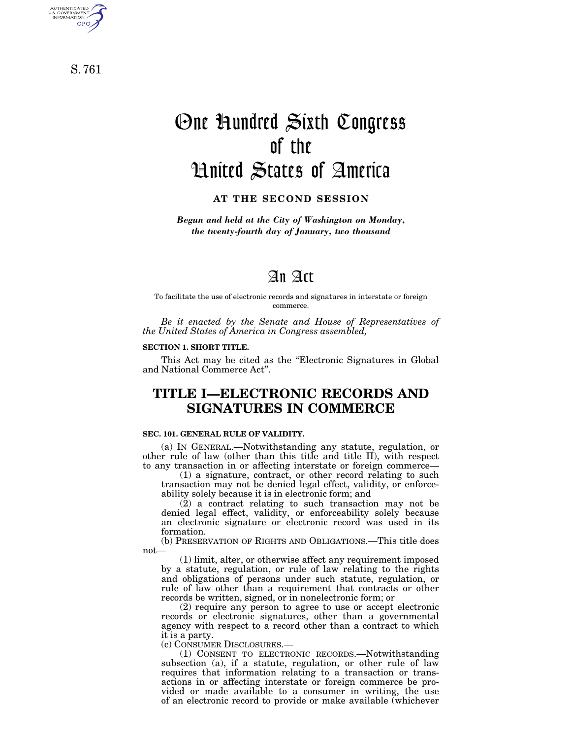S. 761

AUTHENTICATED<br>U.S. GOVERNMENT<br>INFORMATION **GPO** 

# One Hundred Sixth Congress of the United States of America

**AT THE SECOND SESSION**

*Begun and held at the City of Washington on Monday, the twenty-fourth day of January, two thousand*

# An Act

To facilitate the use of electronic records and signatures in interstate or foreign commerce.

*Be it enacted by the Senate and House of Representatives of the United States of America in Congress assembled,*

#### **SECTION 1. SHORT TITLE.**

This Act may be cited as the "Electronic Signatures in Global" and National Commerce Act''.

# **TITLE I—ELECTRONIC RECORDS AND SIGNATURES IN COMMERCE**

#### **SEC. 101. GENERAL RULE OF VALIDITY.**

(a) IN GENERAL.—Notwithstanding any statute, regulation, or other rule of law (other than this title and title II), with respect to any transaction in or affecting interstate or foreign commerce—

(1) a signature, contract, or other record relating to such transaction may not be denied legal effect, validity, or enforceability solely because it is in electronic form; and

 $(2)$  a contract relating to such transaction may not be denied legal effect, validity, or enforceability solely because an electronic signature or electronic record was used in its formation.

(b) PRESERVATION OF RIGHTS AND OBLIGATIONS.—This title does not—

(1) limit, alter, or otherwise affect any requirement imposed by a statute, regulation, or rule of law relating to the rights and obligations of persons under such statute, regulation, or rule of law other than a requirement that contracts or other records be written, signed, or in nonelectronic form; or

(2) require any person to agree to use or accept electronic records or electronic signatures, other than a governmental agency with respect to a record other than a contract to which it is a party.

(c) CONSUMER DISCLOSURES.—

(1) CONSENT TO ELECTRONIC RECORDS.—Notwithstanding subsection (a), if a statute, regulation, or other rule of law requires that information relating to a transaction or transactions in or affecting interstate or foreign commerce be provided or made available to a consumer in writing, the use of an electronic record to provide or make available (whichever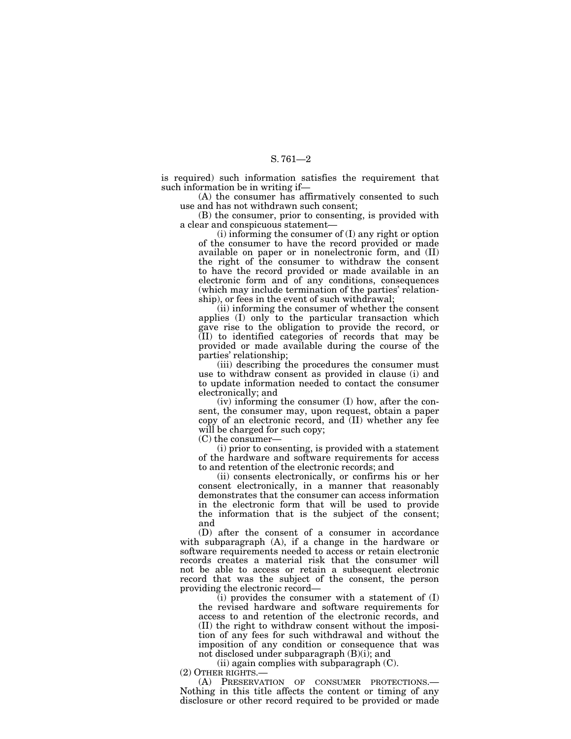is required) such information satisfies the requirement that such information be in writing if—

(A) the consumer has affirmatively consented to such use and has not withdrawn such consent;

(B) the consumer, prior to consenting, is provided with a clear and conspicuous statement—

(i) informing the consumer of (I) any right or option of the consumer to have the record provided or made available on paper or in nonelectronic form, and (II) the right of the consumer to withdraw the consent to have the record provided or made available in an electronic form and of any conditions, consequences (which may include termination of the parties' relationship), or fees in the event of such withdrawal;

(ii) informing the consumer of whether the consent applies (I) only to the particular transaction which gave rise to the obligation to provide the record, or (II) to identified categories of records that may be provided or made available during the course of the parties' relationship;

(iii) describing the procedures the consumer must use to withdraw consent as provided in clause (i) and to update information needed to contact the consumer electronically; and

(iv) informing the consumer (I) how, after the consent, the consumer may, upon request, obtain a paper copy of an electronic record, and (II) whether any fee will be charged for such copy;

(C) the consumer—

(i) prior to consenting, is provided with a statement of the hardware and software requirements for access to and retention of the electronic records; and

(ii) consents electronically, or confirms his or her consent electronically, in a manner that reasonably demonstrates that the consumer can access information in the electronic form that will be used to provide the information that is the subject of the consent; and

(D) after the consent of a consumer in accordance with subparagraph (A), if a change in the hardware or software requirements needed to access or retain electronic records creates a material risk that the consumer will not be able to access or retain a subsequent electronic record that was the subject of the consent, the person providing the electronic record—

(i) provides the consumer with a statement of (I) the revised hardware and software requirements for access to and retention of the electronic records, and (II) the right to withdraw consent without the imposition of any fees for such withdrawal and without the imposition of any condition or consequence that was not disclosed under subparagraph (B)(i); and

(ii) again complies with subparagraph (C).

(2) OTHER RIGHTS.—

(A) PRESERVATION OF CONSUMER PROTECTIONS.— Nothing in this title affects the content or timing of any disclosure or other record required to be provided or made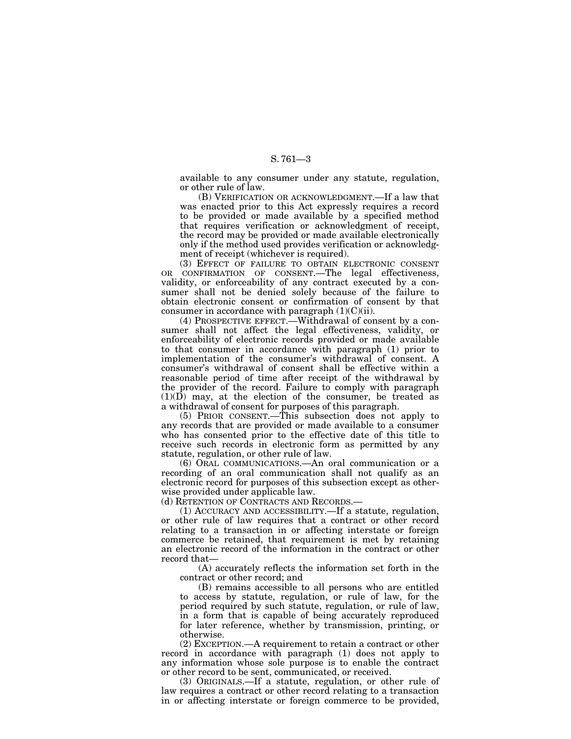available to any consumer under any statute, regulation, or other rule of law.

(B) VERIFICATION OR ACKNOWLEDGMENT.—If a law that was enacted prior to this Act expressly requires a record to be provided or made available by a specified method that requires verification or acknowledgment of receipt, the record may be provided or made available electronically only if the method used provides verification or acknowledgment of receipt (whichever is required).

(3) EFFECT OF FAILURE TO OBTAIN ELECTRONIC CONSENT OR CONFIRMATION OF CONSENT.—The legal effectiveness, validity, or enforceability of any contract executed by a consumer shall not be denied solely because of the failure to obtain electronic consent or confirmation of consent by that consumer in accordance with paragraph  $(1)(C)(ii)$ .

(4) PROSPECTIVE EFFECT.—Withdrawal of consent by a consumer shall not affect the legal effectiveness, validity, or enforceability of electronic records provided or made available to that consumer in accordance with paragraph (1) prior to implementation of the consumer's withdrawal of consent. A consumer's withdrawal of consent shall be effective within a reasonable period of time after receipt of the withdrawal by the provider of the record. Failure to comply with paragraph  $(1)(\overline{D})$  may, at the election of the consumer, be treated as a withdrawal of consent for purposes of this paragraph.

(5) PRIOR CONSENT.—This subsection does not apply to any records that are provided or made available to a consumer who has consented prior to the effective date of this title to receive such records in electronic form as permitted by any statute, regulation, or other rule of law.

(6) ORAL COMMUNICATIONS.—An oral communication or a recording of an oral communication shall not qualify as an electronic record for purposes of this subsection except as otherwise provided under applicable law.

(d) RETENTION OF CONTRACTS AND RECORDS.—

(1) ACCURACY AND ACCESSIBILITY.—If a statute, regulation, or other rule of law requires that a contract or other record relating to a transaction in or affecting interstate or foreign commerce be retained, that requirement is met by retaining an electronic record of the information in the contract or other record that—

(A) accurately reflects the information set forth in the contract or other record; and

(B) remains accessible to all persons who are entitled to access by statute, regulation, or rule of law, for the period required by such statute, regulation, or rule of law, in a form that is capable of being accurately reproduced for later reference, whether by transmission, printing, or otherwise.

(2) EXCEPTION.—A requirement to retain a contract or other record in accordance with paragraph (1) does not apply to any information whose sole purpose is to enable the contract or other record to be sent, communicated, or received.

(3) ORIGINALS.—If a statute, regulation, or other rule of law requires a contract or other record relating to a transaction in or affecting interstate or foreign commerce to be provided,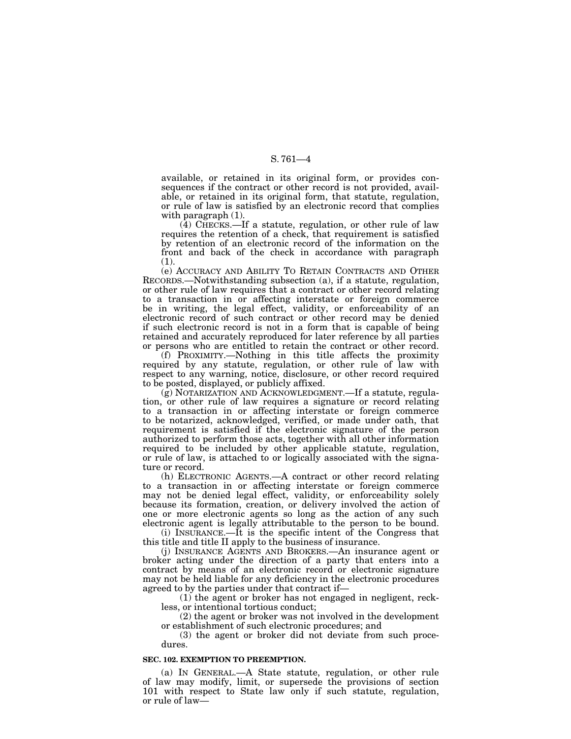available, or retained in its original form, or provides consequences if the contract or other record is not provided, available, or retained in its original form, that statute, regulation, or rule of law is satisfied by an electronic record that complies with paragraph  $(1)$ .

 $(4)$  CHECKS.—If a statute, regulation, or other rule of law requires the retention of a check, that requirement is satisfied by retention of an electronic record of the information on the front and back of the check in accordance with paragraph (1).

(e) ACCURACY AND ABILITY TO RETAIN CONTRACTS AND OTHER RECORDS.—Notwithstanding subsection (a), if a statute, regulation, or other rule of law requires that a contract or other record relating to a transaction in or affecting interstate or foreign commerce be in writing, the legal effect, validity, or enforceability of an electronic record of such contract or other record may be denied if such electronic record is not in a form that is capable of being retained and accurately reproduced for later reference by all parties or persons who are entitled to retain the contract or other record.

(f) PROXIMITY.—Nothing in this title affects the proximity required by any statute, regulation, or other rule of law with respect to any warning, notice, disclosure, or other record required to be posted, displayed, or publicly affixed.

(g) NOTARIZATION AND ACKNOWLEDGMENT.—If a statute, regulation, or other rule of law requires a signature or record relating to a transaction in or affecting interstate or foreign commerce to be notarized, acknowledged, verified, or made under oath, that requirement is satisfied if the electronic signature of the person authorized to perform those acts, together with all other information required to be included by other applicable statute, regulation, or rule of law, is attached to or logically associated with the signature or record.

(h) ELECTRONIC AGENTS.—A contract or other record relating to a transaction in or affecting interstate or foreign commerce may not be denied legal effect, validity, or enforceability solely because its formation, creation, or delivery involved the action of one or more electronic agents so long as the action of any such electronic agent is legally attributable to the person to be bound.

(i) INSURANCE.—It is the specific intent of the Congress that this title and title II apply to the business of insurance.

(j) INSURANCE AGENTS AND BROKERS.—An insurance agent or broker acting under the direction of a party that enters into a contract by means of an electronic record or electronic signature may not be held liable for any deficiency in the electronic procedures agreed to by the parties under that contract if—

(1) the agent or broker has not engaged in negligent, reckless, or intentional tortious conduct;

(2) the agent or broker was not involved in the development or establishment of such electronic procedures; and

(3) the agent or broker did not deviate from such procedures.

#### **SEC. 102. EXEMPTION TO PREEMPTION.**

(a) IN GENERAL.—A State statute, regulation, or other rule of law may modify, limit, or supersede the provisions of section 101 with respect to State law only if such statute, regulation, or rule of law—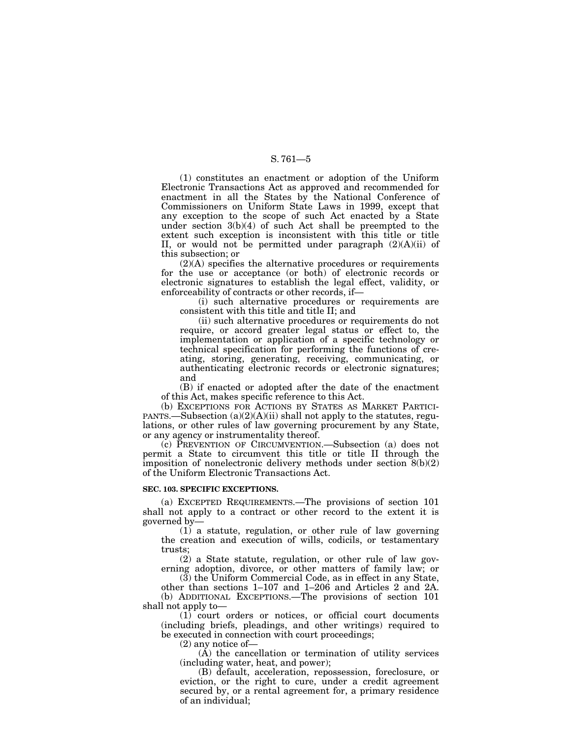(1) constitutes an enactment or adoption of the Uniform Electronic Transactions Act as approved and recommended for enactment in all the States by the National Conference of Commissioners on Uniform State Laws in 1999, except that any exception to the scope of such Act enacted by a State under section 3(b)(4) of such Act shall be preempted to the extent such exception is inconsistent with this title or title II, or would not be permitted under paragraph (2)(A)(ii) of this subsection; or

 $(2)(A)$  specifies the alternative procedures or requirements for the use or acceptance (or both) of electronic records or electronic signatures to establish the legal effect, validity, or enforceability of contracts or other records, if—

(i) such alternative procedures or requirements are consistent with this title and title II; and

(ii) such alternative procedures or requirements do not require, or accord greater legal status or effect to, the implementation or application of a specific technology or technical specification for performing the functions of creating, storing, generating, receiving, communicating, or authenticating electronic records or electronic signatures; and

(B) if enacted or adopted after the date of the enactment of this Act, makes specific reference to this Act.

(b) EXCEPTIONS FOR ACTIONS BY STATES AS MARKET PARTICI-PANTS.—Subsection  $(a)(2)(A)(ii)$  shall not apply to the statutes, regulations, or other rules of law governing procurement by any State, or any agency or instrumentality thereof.

(c) PREVENTION OF CIRCUMVENTION.—Subsection (a) does not permit a State to circumvent this title or title II through the imposition of nonelectronic delivery methods under section 8(b)(2) of the Uniform Electronic Transactions Act.

#### **SEC. 103. SPECIFIC EXCEPTIONS.**

(a) EXCEPTED REQUIREMENTS.—The provisions of section 101 shall not apply to a contract or other record to the extent it is governed by—

(1) a statute, regulation, or other rule of law governing the creation and execution of wills, codicils, or testamentary trusts;

(2) a State statute, regulation, or other rule of law governing adoption, divorce, or other matters of family law; or

(3) the Uniform Commercial Code, as in effect in any State, other than sections 1–107 and 1–206 and Articles 2 and 2A. (b) ADDITIONAL EXCEPTIONS.—The provisions of section 101 shall not apply to—

(1) court orders or notices, or official court documents (including briefs, pleadings, and other writings) required to be executed in connection with court proceedings;

(2) any notice of—

(A) the cancellation or termination of utility services (including water, heat, and power);

(B) default, acceleration, repossession, foreclosure, or eviction, or the right to cure, under a credit agreement secured by, or a rental agreement for, a primary residence of an individual;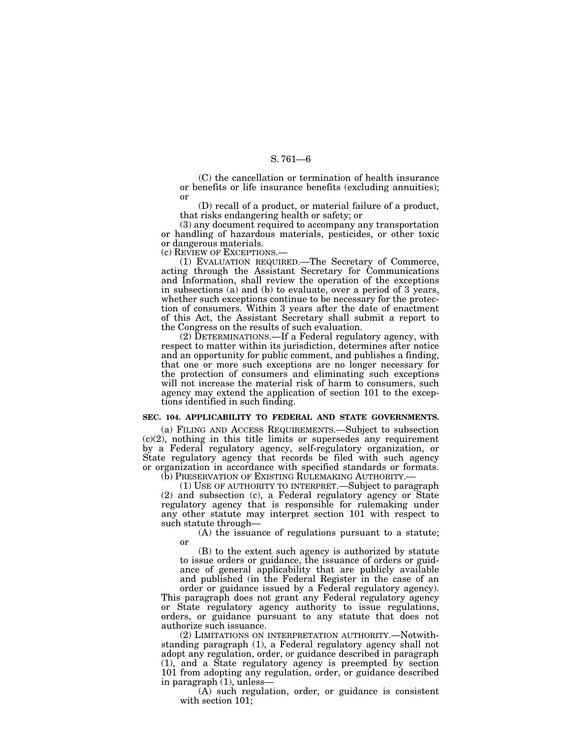(C) the cancellation or termination of health insurance or benefits or life insurance benefits (excluding annuities); or

(D) recall of a product, or material failure of a product, that risks endangering health or safety; or

(3) any document required to accompany any transportation or handling of hazardous materials, pesticides, or other toxic or dangerous materials.

(c) REVIEW OF EXCEPTIONS.—

(1) EVALUATION REQUIRED.—The Secretary of Commerce, acting through the Assistant Secretary for Communications and Information, shall review the operation of the exceptions in subsections (a) and (b) to evaluate, over a period of 3 years, whether such exceptions continue to be necessary for the protection of consumers. Within 3 years after the date of enactment of this Act, the Assistant Secretary shall submit a report to the Congress on the results of such evaluation.

(2) DETERMINATIONS.—If a Federal regulatory agency, with respect to matter within its jurisdiction, determines after notice and an opportunity for public comment, and publishes a finding, that one or more such exceptions are no longer necessary for the protection of consumers and eliminating such exceptions will not increase the material risk of harm to consumers, such agency may extend the application of section 101 to the exceptions identified in such finding.

#### **SEC. 104. APPLICABILITY TO FEDERAL AND STATE GOVERNMENTS.**

(a) FILING AND ACCESS REQUIREMENTS.—Subject to subsection (c)(2), nothing in this title limits or supersedes any requirement by a Federal regulatory agency, self-regulatory organization, or State regulatory agency that records be filed with such agency or organization in accordance with specified standards or formats.<br>(b) PRESERVATION OF EXISTING RULEMAKING AUTHORITY.—

 $(1)$  USE OF AUTHORITY TO INTERPRET.—Subject to paragraph (2) and subsection (c), a Federal regulatory agency or State regulatory agency that is responsible for rulemaking under any other statute may interpret section 101 with respect to such statute through—

(A) the issuance of regulations pursuant to a statute; or

(B) to the extent such agency is authorized by statute to issue orders or guidance, the issuance of orders or guidance of general applicability that are publicly available and published (in the Federal Register in the case of an

order or guidance issued by a Federal regulatory agency). This paragraph does not grant any Federal regulatory agency or State regulatory agency authority to issue regulations, orders, or guidance pursuant to any statute that does not authorize such issuance.

(2) LIMITATIONS ON INTERPRETATION AUTHORITY.—Notwithstanding paragraph (1), a Federal regulatory agency shall not adopt any regulation, order, or guidance described in paragraph (1), and a State regulatory agency is preempted by section 101 from adopting any regulation, order, or guidance described in paragraph (1), unless—

(A) such regulation, order, or guidance is consistent with section 101;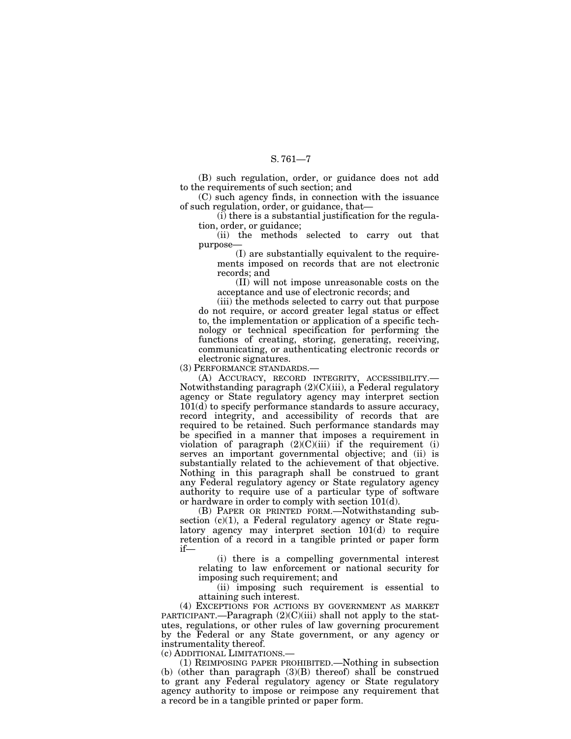(B) such regulation, order, or guidance does not add to the requirements of such section; and

(C) such agency finds, in connection with the issuance of such regulation, order, or guidance, that—

(i) there is a substantial justification for the regulation, order, or guidance;

(ii) the methods selected to carry out that purpose—

(I) are substantially equivalent to the requirements imposed on records that are not electronic records; and

(II) will not impose unreasonable costs on the acceptance and use of electronic records; and

(iii) the methods selected to carry out that purpose do not require, or accord greater legal status or effect to, the implementation or application of a specific technology or technical specification for performing the functions of creating, storing, generating, receiving, communicating, or authenticating electronic records or electronic signatures.

(3) PERFORMANCE STANDARDS.—

(A) ACCURACY, RECORD INTEGRITY, ACCESSIBILITY.— Notwithstanding paragraph (2)(C)(iii), a Federal regulatory agency or State regulatory agency may interpret section 101(d) to specify performance standards to assure accuracy, record integrity, and accessibility of records that are required to be retained. Such performance standards may be specified in a manner that imposes a requirement in violation of paragraph  $(2)(C)(iii)$  if the requirement (i) serves an important governmental objective; and (ii) is substantially related to the achievement of that objective. Nothing in this paragraph shall be construed to grant any Federal regulatory agency or State regulatory agency authority to require use of a particular type of software or hardware in order to comply with section 101(d).

(B) PAPER OR PRINTED FORM.—Notwithstanding subsection  $(c)(1)$ , a Federal regulatory agency or State regulatory agency may interpret section 101(d) to require retention of a record in a tangible printed or paper form if—

(i) there is a compelling governmental interest relating to law enforcement or national security for imposing such requirement; and

(ii) imposing such requirement is essential to attaining such interest.

(4) EXCEPTIONS FOR ACTIONS BY GOVERNMENT AS MARKET PARTICIPANT.—Paragraph  $(2)(C)(iii)$  shall not apply to the statutes, regulations, or other rules of law governing procurement by the Federal or any State government, or any agency or instrumentality thereof.

(c) ADDITIONAL LIMITATIONS.—

(1) REIMPOSING PAPER PROHIBITED.—Nothing in subsection (b) (other than paragraph (3)(B) thereof) shall be construed to grant any Federal regulatory agency or State regulatory agency authority to impose or reimpose any requirement that a record be in a tangible printed or paper form.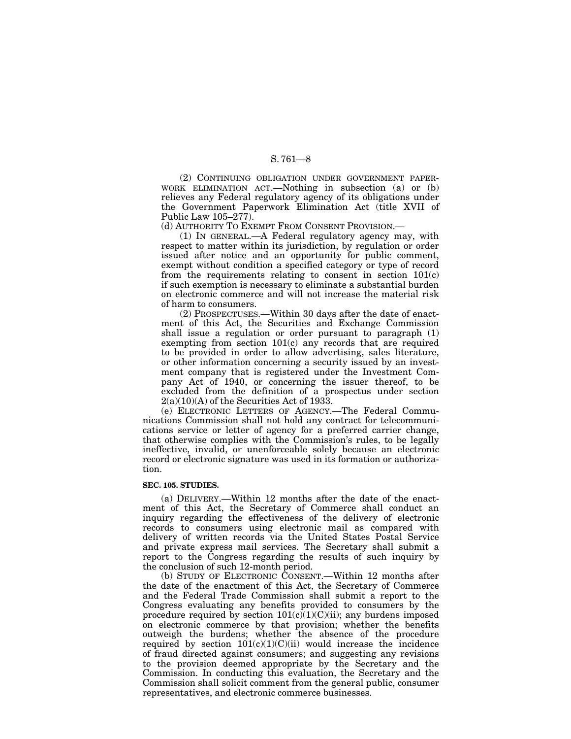(2) CONTINUING OBLIGATION UNDER GOVERNMENT PAPER-WORK ELIMINATION ACT.—Nothing in subsection (a) or (b) relieves any Federal regulatory agency of its obligations under the Government Paperwork Elimination Act (title XVII of Public Law 105–277).

(d) AUTHORITY TO EXEMPT FROM CONSENT PROVISION.—

(1) IN GENERAL.—A Federal regulatory agency may, with respect to matter within its jurisdiction, by regulation or order issued after notice and an opportunity for public comment, exempt without condition a specified category or type of record from the requirements relating to consent in section  $101(c)$ if such exemption is necessary to eliminate a substantial burden on electronic commerce and will not increase the material risk of harm to consumers.

(2) PROSPECTUSES.—Within 30 days after the date of enactment of this Act, the Securities and Exchange Commission shall issue a regulation or order pursuant to paragraph (1) exempting from section 101(c) any records that are required to be provided in order to allow advertising, sales literature, or other information concerning a security issued by an investment company that is registered under the Investment Company Act of 1940, or concerning the issuer thereof, to be excluded from the definition of a prospectus under section  $2(a)(10)(A)$  of the Securities Act of 1933.

(e) ELECTRONIC LETTERS OF AGENCY.—The Federal Communications Commission shall not hold any contract for telecommunications service or letter of agency for a preferred carrier change, that otherwise complies with the Commission's rules, to be legally ineffective, invalid, or unenforceable solely because an electronic record or electronic signature was used in its formation or authorization.

#### **SEC. 105. STUDIES.**

(a) DELIVERY.—Within 12 months after the date of the enactment of this Act, the Secretary of Commerce shall conduct an inquiry regarding the effectiveness of the delivery of electronic records to consumers using electronic mail as compared with delivery of written records via the United States Postal Service and private express mail services. The Secretary shall submit a report to the Congress regarding the results of such inquiry by the conclusion of such 12-month period.

(b) STUDY OF ELECTRONIC CONSENT.—Within 12 months after the date of the enactment of this Act, the Secretary of Commerce and the Federal Trade Commission shall submit a report to the Congress evaluating any benefits provided to consumers by the procedure required by section  $101(c)(1)(C)(ii)$ ; any burdens imposed on electronic commerce by that provision; whether the benefits outweigh the burdens; whether the absence of the procedure required by section  $101(c)(1)(C)(ii)$  would increase the incidence of fraud directed against consumers; and suggesting any revisions to the provision deemed appropriate by the Secretary and the Commission. In conducting this evaluation, the Secretary and the Commission shall solicit comment from the general public, consumer representatives, and electronic commerce businesses.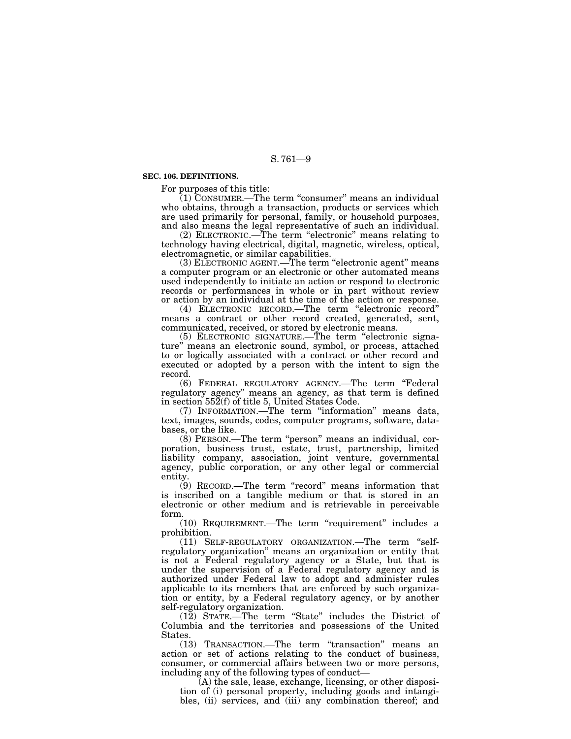#### **SEC. 106. DEFINITIONS.**

For purposes of this title:

(1) CONSUMER.—The term ''consumer'' means an individual who obtains, through a transaction, products or services which are used primarily for personal, family, or household purposes, and also means the legal representative of such an individual.

(2) ELECTRONIC.—The term ''electronic'' means relating to technology having electrical, digital, magnetic, wireless, optical, electromagnetic, or similar capabilities.

(3) ELECTRONIC AGENT.—The term ''electronic agent'' means a computer program or an electronic or other automated means used independently to initiate an action or respond to electronic records or performances in whole or in part without review or action by an individual at the time of the action or response.

(4) ELECTRONIC RECORD.—The term ''electronic record'' means a contract or other record created, generated, sent, communicated, received, or stored by electronic means.

(5) ELECTRONIC SIGNATURE.—The term ''electronic signature'' means an electronic sound, symbol, or process, attached to or logically associated with a contract or other record and executed or adopted by a person with the intent to sign the record.

(6) FEDERAL REGULATORY AGENCY.—The term ''Federal regulatory agency'' means an agency, as that term is defined in section 552(f) of title 5, United States Code.

(7) INFORMATION.—The term ''information'' means data, text, images, sounds, codes, computer programs, software, databases, or the like.

(8) PERSON.—The term ''person'' means an individual, corporation, business trust, estate, trust, partnership, limited liability company, association, joint venture, governmental agency, public corporation, or any other legal or commercial entity.

(9) RECORD.—The term ''record'' means information that is inscribed on a tangible medium or that is stored in an electronic or other medium and is retrievable in perceivable form.

(10) REQUIREMENT.—The term "requirement" includes a prohibition.

(11) SELF-REGULATORY ORGANIZATION.—The term ''selfregulatory organization'' means an organization or entity that is not a Federal regulatory agency or a State, but that is under the supervision of a Federal regulatory agency and is authorized under Federal law to adopt and administer rules applicable to its members that are enforced by such organization or entity, by a Federal regulatory agency, or by another self-regulatory organization.

(12) STATE.—The term ''State'' includes the District of Columbia and the territories and possessions of the United States.

(13) TRANSACTION.—The term ''transaction'' means an action or set of actions relating to the conduct of business, consumer, or commercial affairs between two or more persons, including any of the following types of conduct—

(A) the sale, lease, exchange, licensing, or other disposition of (i) personal property, including goods and intangibles, (ii) services, and (iii) any combination thereof; and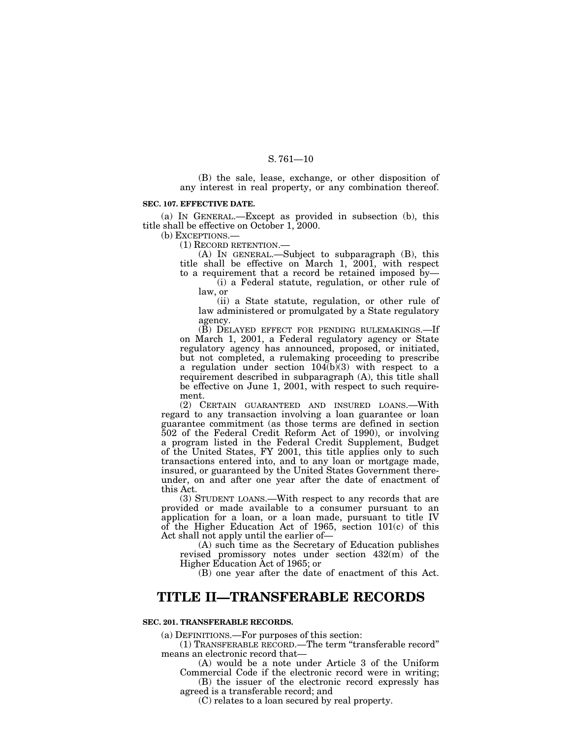(B) the sale, lease, exchange, or other disposition of any interest in real property, or any combination thereof.

#### **SEC. 107. EFFECTIVE DATE.**

(a) IN GENERAL.—Except as provided in subsection (b), this title shall be effective on October 1, 2000.

(b) EXCEPTIONS.—

(1) RECORD RETENTION.—

(A) IN GENERAL.—Subject to subparagraph (B), this title shall be effective on March 1, 2001, with respect to a requirement that a record be retained imposed by—

(i) a Federal statute, regulation, or other rule of law, or

(ii) a State statute, regulation, or other rule of law administered or promulgated by a State regulatory agency.

(B) DELAYED EFFECT FOR PENDING RULEMAKINGS.—If on March 1, 2001, a Federal regulatory agency or State regulatory agency has announced, proposed, or initiated, but not completed, a rulemaking proceeding to prescribe a regulation under section  $104(b)(3)$  with respect to a requirement described in subparagraph (A), this title shall be effective on June 1, 2001, with respect to such requirement.

(2) CERTAIN GUARANTEED AND INSURED LOANS.—With regard to any transaction involving a loan guarantee or loan guarantee commitment (as those terms are defined in section 502 of the Federal Credit Reform Act of 1990), or involving a program listed in the Federal Credit Supplement, Budget of the United States, FY 2001, this title applies only to such transactions entered into, and to any loan or mortgage made, insured, or guaranteed by the United States Government thereunder, on and after one year after the date of enactment of this Act.

(3) STUDENT LOANS.—With respect to any records that are provided or made available to a consumer pursuant to an application for a loan, or a loan made, pursuant to title IV  $\sigma$  the Higher Education Act of 1965, section 101 $(c)$  of this Act shall not apply until the earlier of—

(A) such time as the Secretary of Education publishes revised promissory notes under section 432(m) of the Higher Education Act of 1965; or

(B) one year after the date of enactment of this Act.

# **TITLE II—TRANSFERABLE RECORDS**

#### **SEC. 201. TRANSFERABLE RECORDS.**

(a) DEFINITIONS.—For purposes of this section:

(1) TRANSFERABLE RECORD.—The term ''transferable record'' means an electronic record that—

(A) would be a note under Article 3 of the Uniform Commercial Code if the electronic record were in writing; (B) the issuer of the electronic record expressly has

agreed is a transferable record; and

(C) relates to a loan secured by real property.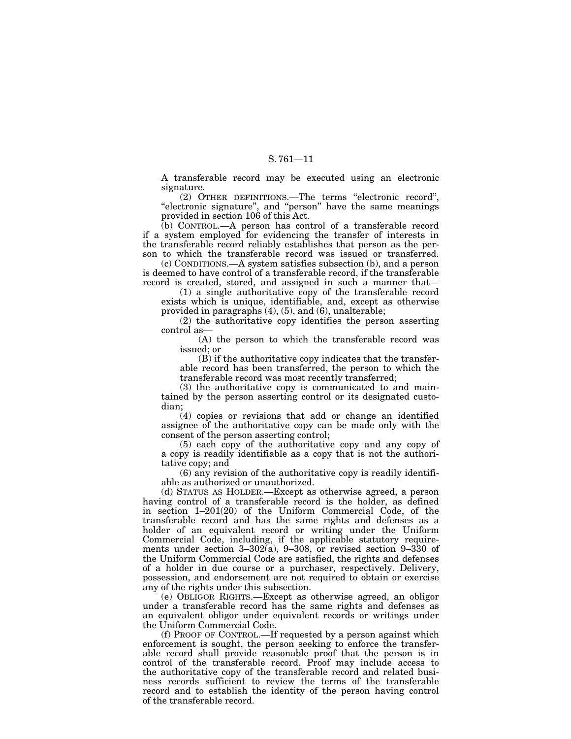A transferable record may be executed using an electronic signature.

(2) OTHER DEFINITIONS.—The terms ''electronic record'', ''electronic signature'', and ''person'' have the same meanings provided in section 106 of this Act.

(b) CONTROL.—A person has control of a transferable record if a system employed for evidencing the transfer of interests in the transferable record reliably establishes that person as the person to which the transferable record was issued or transferred.

(c) CONDITIONS.—A system satisfies subsection (b), and a person is deemed to have control of a transferable record, if the transferable record is created, stored, and assigned in such a manner that—

(1) a single authoritative copy of the transferable record exists which is unique, identifiable, and, except as otherwise provided in paragraphs (4), (5), and (6), unalterable;

(2) the authoritative copy identifies the person asserting control as—

(A) the person to which the transferable record was issued; or

(B) if the authoritative copy indicates that the transferable record has been transferred, the person to which the transferable record was most recently transferred;

(3) the authoritative copy is communicated to and maintained by the person asserting control or its designated custodian;

(4) copies or revisions that add or change an identified assignee of the authoritative copy can be made only with the consent of the person asserting control;

(5) each copy of the authoritative copy and any copy of a copy is readily identifiable as a copy that is not the authoritative copy; and

(6) any revision of the authoritative copy is readily identifiable as authorized or unauthorized.

(d) STATUS AS HOLDER.—Except as otherwise agreed, a person having control of a transferable record is the holder, as defined in section 1–201(20) of the Uniform Commercial Code, of the transferable record and has the same rights and defenses as a holder of an equivalent record or writing under the Uniform Commercial Code, including, if the applicable statutory requirements under section 3–302(a), 9–308, or revised section 9–330 of the Uniform Commercial Code are satisfied, the rights and defenses of a holder in due course or a purchaser, respectively. Delivery, possession, and endorsement are not required to obtain or exercise any of the rights under this subsection.

(e) OBLIGOR RIGHTS.—Except as otherwise agreed, an obligor under a transferable record has the same rights and defenses as an equivalent obligor under equivalent records or writings under the Uniform Commercial Code.

(f) PROOF OF CONTROL.—If requested by a person against which enforcement is sought, the person seeking to enforce the transferable record shall provide reasonable proof that the person is in control of the transferable record. Proof may include access to the authoritative copy of the transferable record and related business records sufficient to review the terms of the transferable record and to establish the identity of the person having control of the transferable record.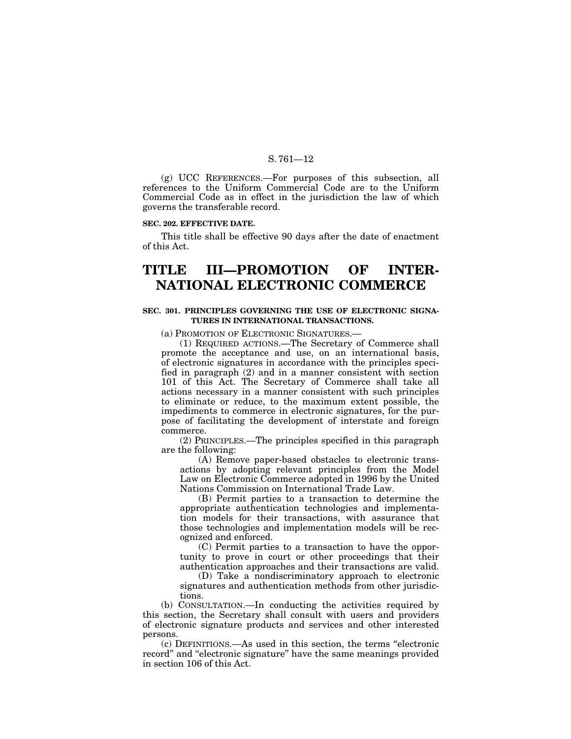(g) UCC REFERENCES.—For purposes of this subsection, all references to the Uniform Commercial Code are to the Uniform Commercial Code as in effect in the jurisdiction the law of which governs the transferable record.

#### **SEC. 202. EFFECTIVE DATE.**

This title shall be effective 90 days after the date of enactment of this Act.

# **TITLE III—PROMOTION OF INTER-NATIONAL ELECTRONIC COMMERCE**

#### **SEC. 301. PRINCIPLES GOVERNING THE USE OF ELECTRONIC SIGNA-TURES IN INTERNATIONAL TRANSACTIONS.**

(a) PROMOTION OF ELECTRONIC SIGNATURES.—

(1) REQUIRED ACTIONS.—The Secretary of Commerce shall promote the acceptance and use, on an international basis, of electronic signatures in accordance with the principles specified in paragraph (2) and in a manner consistent with section 101 of this Act. The Secretary of Commerce shall take all actions necessary in a manner consistent with such principles to eliminate or reduce, to the maximum extent possible, the impediments to commerce in electronic signatures, for the purpose of facilitating the development of interstate and foreign commerce.

(2) PRINCIPLES.—The principles specified in this paragraph are the following:

(A) Remove paper-based obstacles to electronic transactions by adopting relevant principles from the Model Law on Electronic Commerce adopted in 1996 by the United Nations Commission on International Trade Law.

(B) Permit parties to a transaction to determine the appropriate authentication technologies and implementation models for their transactions, with assurance that those technologies and implementation models will be recognized and enforced.

(C) Permit parties to a transaction to have the opportunity to prove in court or other proceedings that their authentication approaches and their transactions are valid.

(D) Take a nondiscriminatory approach to electronic signatures and authentication methods from other jurisdictions.

(b) CONSULTATION.—In conducting the activities required by this section, the Secretary shall consult with users and providers of electronic signature products and services and other interested persons.

(c) DEFINITIONS.—As used in this section, the terms ''electronic record'' and ''electronic signature'' have the same meanings provided in section 106 of this Act.